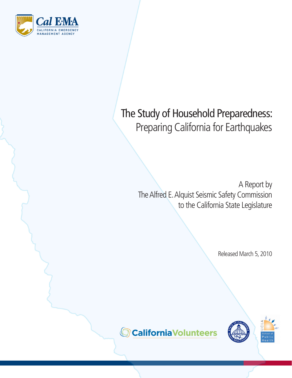

# The Study of Household Preparedness: Preparing California for Earthquakes

A Report by The Alfred E. Alquist Seismic Safety Commission to the California State Legislature

Released March 5, 2010



**CaliforniaVolunteers**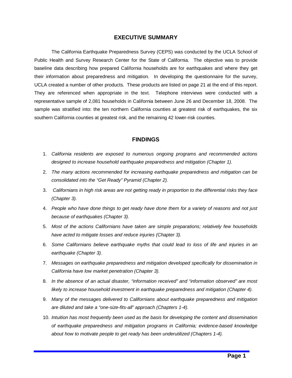# **EXECUTIVE SUMMARY**

The California Earthquake Preparedness Survey (CEPS) was conducted by the UCLA School of Public Health and Survey Research Center for the State of California. The objective was to provide baseline data describing how prepared California households are for earthquakes and where they get their information about preparedness and mitigation. In developing the questionnaire for the survey, UCLA created a number of other products. These products are listed on page 21 at the end of this report. They are referenced when appropriate in the text. Telephone interviews were conducted with a representative sample of 2,081 households in California between June 26 and December 18, 2008. The sample was stratified into: the ten northern California counties at greatest risk of earthquakes, the six southern California counties at greatest risk, and the remaining 42 lower-risk counties.

# **FINDINGS**

- 1. California residents are exposed to numerous ongoing programs and recommended actions designed to increase household earthquake preparedness and mitigation (Chapter 1).
- 2. The many actions recommended for increasing earthquake preparedness and mitigation can be consolidated into the "Get Ready" Pyramid (Chapter 2).
- 3. Californians in high risk areas are not getting ready in proportion to the differential risks they face (Chapter 3).
- 4. People who have done things to get ready have done them for a variety of reasons and not just because of earthquakes (Chapter 3).
- 5. Most of the actions Californians have taken are simple preparations; relatively few households have acted to mitigate losses and reduce injuries (Chapter 3).
- 6. Some Californians believe earthquake myths that could lead to loss of life and injuries in an earthquake (Chapter 3).
- 7. Messages on earthquake preparedness and mitigation developed specifically for dissemination in California have low market penetration (Chapter 3).
- 8. In the absence of an actual disaster, "information received" and "information observed" are most likely to increase household investment in earthquake preparedness and mitigation (Chapter 4).
- 9. Many of the messages delivered to Californians about earthquake preparedness and mitigation are diluted and take a "one-size-fits-all" approach (Chapters 1-4).
- 10. Intuition has most frequently been used as the basis for developing the content and dissemination of earthquake preparedness and mitigation programs in California; evidence-based knowledge about how to motivate people to get ready has been underutilized (Chapters 1-4).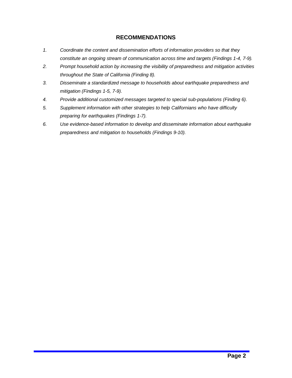# **RECOMMENDATIONS**

- 1. Coordinate the content and dissemination efforts of information providers so that they constitute an ongoing stream of communication across time and targets (Findings 1-4, 7-9).
- 2. Prompt household action by increasing the visibility of preparedness and mitigation activities throughout the State of California (Finding 8).
- 3. Disseminate a standardized message to households about earthquake preparedness and mitigation (Findings 1-5, 7-9).
- 4. Provide additional customized messages targeted to special sub-populations (Finding 6).
- 5. Supplement information with other strategies to help Californians who have difficulty preparing for earthquakes (Findings 1-7).
- 6. Use evidence-based information to develop and disseminate information about earthquake preparedness and mitigation to households (Findings 9-10).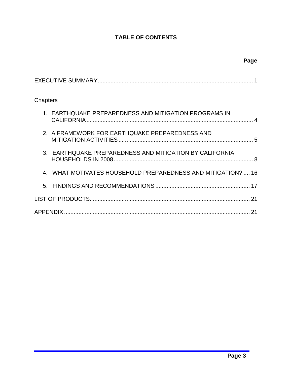# **TABLE OF CONTENTS**

| Chapters                                                  |
|-----------------------------------------------------------|
| 1. EARTHQUAKE PREPAREDNESS AND MITIGATION PROGRAMS IN     |
| 2. A FRAMEWORK FOR EARTHQUAKE PREPAREDNESS AND            |
| 3. EARTHQUAKE PREPAREDNESS AND MITIGATION BY CALIFORNIA   |
| WHAT MOTIVATES HOUSEHOLD PREPAREDNESS AND MITIGATION?  16 |
| 5.                                                        |
| 21                                                        |
|                                                           |

 **Page**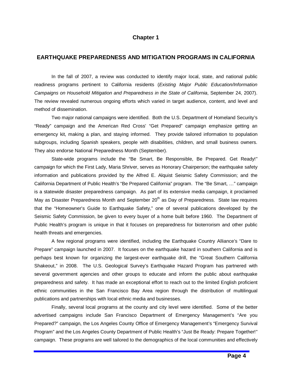# **Chapter 1**

## **EARTHQUAKE PREPAREDNESS AND MITIGATION PROGRAMS IN CALIFORNIA**

In the fall of 2007, a review was conducted to identify major local, state, and national public readiness programs pertinent to California residents (Existing Major Public Education/Information Campaigns on Household Mitigation and Preparedness in the State of California, September 24, 2007). The review revealed numerous ongoing efforts which varied in target audience, content, and level and method of dissemination.

Two major national campaigns were identified. Both the U.S. Department of Homeland Security's "Ready" campaign and the American Red Cross' "Get Prepared" campaign emphasize getting an emergency kit, making a plan, and staying informed. They provide tailored information to population subgroups, including Spanish speakers, people with disabilities, children, and small business owners. They also endorse National Preparedness Month (September).

State-wide programs include the "Be Smart, Be Responsible, Be Prepared. Get Ready!" campaign for which the First Lady, Maria Shriver, serves as Honorary Chairperson; the earthquake safety information and publications provided by the Alfred E. Alquist Seismic Safety Commission; and the California Department of Public Health's "Be Prepared California" program. The "Be Smart, …" campaign is a statewide disaster preparedness campaign. As part of its extensive media campaign, it proclaimed May as Disaster Preparedness Month and September  $20<sup>th</sup>$  as Day of Preparedness. State law requires that the "Homeowner's Guide to Earthquake Safety," one of several publications developed by the Seismic Safety Commission, be given to every buyer of a home built before 1960. The Department of Public Health's program is unique in that it focuses on preparedness for bioterrorism and other public health threats and emergencies.

A few regional programs were identified, including the Earthquake Country Alliance's "Dare to Prepare" campaign launched in 2007. It focuses on the earthquake hazard in southern California and is perhaps best known for organizing the largest-ever earthquake drill, the "Great Southern California Shakeout," in 2008. The U.S. Geological Survey's Earthquake Hazard Program has partnered with several government agencies and other groups to educate and inform the public about earthquake preparedness and safety. It has made an exceptional effort to reach out to the limited English proficient ethnic communities in the San Francisco Bay Area region through the distribution of multilingual publications and partnerships with local ethnic media and businesses.

Finally, several local programs at the county and city level were identified. Some of the better advertised campaigns include San Francisco Department of Emergency Management's "Are you Prepared?" campaign, the Los Angeles County Office of Emergency Management's "Emergency Survival Program" and the Los Angeles County Department of Public Health's "Just Be Ready: Prepare Together!" campaign. These programs are well tailored to the demographics of the local communities and effectively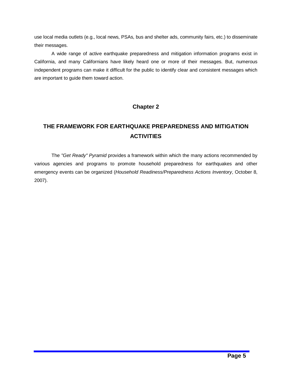use local media outlets (e.g., local news, PSAs, bus and shelter ads, community fairs, etc.) to disseminate their messages.

A wide range of active earthquake preparedness and mitigation information programs exist in California, and many Californians have likely heard one or more of their messages. But, numerous independent programs can make it difficult for the public to identify clear and consistent messages which are important to guide them toward action.

# **Chapter 2**

# **THE FRAMEWORK FOR EARTHQUAKE PREPAREDNESS AND MITIGATION ACTIVITIES**

The "Get Ready" Pyramid provides a framework within which the many actions recommended by various agencies and programs to promote household preparedness for earthquakes and other emergency events can be organized (Household Readiness/Preparedness Actions Inventory, October 8, 2007).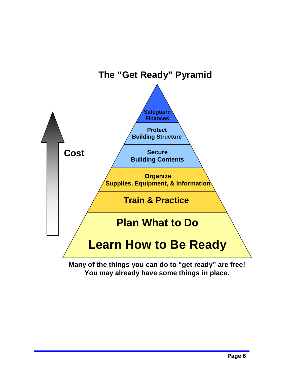

**Many of the things you can do to "get ready" are free! You may already have some things in place.**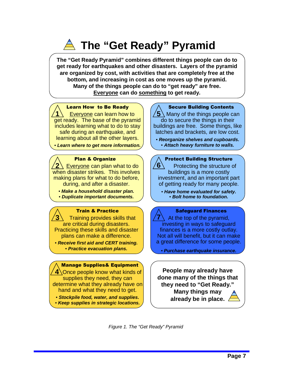# **The "Get Ready" Pyramid**

**The "Get Ready Pyramid" combines different things people can do to get ready for earthquakes and other disasters. Layers of the pyramid are organized by cost, with activities that are completely free at the bottom, and increasing in cost as one moves up the pyramid. Many of the things people can do to "get ready" are free. Everyone can do something to get ready.**

## Learn How to Be Ready

**1** Everyone can learn how to get ready. The base of the pyramid includes learning what to do to stay safe during an earthquake, and learning about all the other layers.

• **Learn where to get more information.**

## Plan & Organize

**2** Everyone can plan what to do when disaster strikes. This involves making plans for what to do before, during, and after a disaster.

• **Make a household disaster plan.** • **Duplicate important documents.**

# Train & Practice

**3** Training provides skills that are critical during disasters. Practicing these skills and disaster plans can make a difference.

• **Receive first aid and CERT training.** • **Practice evacuation plans.**

## Manage Supplies& Equipment

**4** Once people know what kinds of supplies they need, they can determine what they already have on hand and what they need to get.

- **Stockpile food, water, and supplies.**
- **Keep supplies in strategic locations.**

# Secure Building Contents

**5** Many of the things people can do to secure the things in their buildings are free. Some things, like latches and brackets, are low cost.

- **Reorganize shelves and cupboards.**
	- **Attach heavy furniture to walls.**

## Protect Building Structure

**6** Protecting the structure of buildings is a more costly investment, and an important part of getting ready for many people.

• **Have home evaluated for safety.** • **Bolt home to foundation.**

### Safeguard Finances

**7** At the top of the pyramid, investing in ways to safeguard finances is a more costly outlay. Not all will benefit, but it can make a great difference for some people.

• **Purchase earthquake insurance.**

**People may already have done many of the things that they need to "Get Ready." Many things may already be in place.**

Figure 1. The "Get Ready" Pyramid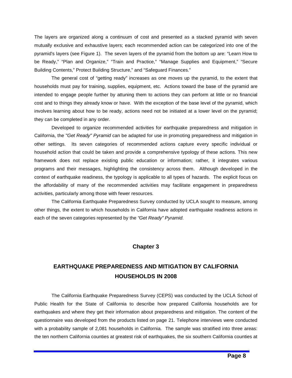The layers are organized along a continuum of cost and presented as a stacked pyramid with seven mutually exclusive and exhaustive layers; each recommended action can be categorized into one of the pyramid's layers (see Figure 1). The seven layers of the pyramid from the bottom up are: "Learn How to be Ready," "Plan and Organize," "Train and Practice," "Manage Supplies and Equipment," "Secure Building Contents," Protect Building Structure," and "Safeguard Finances."

The general cost of "getting ready" increases as one moves up the pyramid, to the extent that households must pay for training, supplies, equipment, etc. Actions toward the base of the pyramid are intended to engage people further by attuning them to actions they can perform at little or no financial cost and to things they already know or have. With the exception of the base level of the pyramid, which involves learning about how to be ready, actions need not be initiated at a lower level on the pyramid; they can be completed in any order.

Developed to organize recommended activities for earthquake preparedness and mitigation in California, the "Get Ready" Pyramid can be adapted for use in promoting preparedness and mitigation in other settings. Its seven categories of recommended actions capture every specific individual or household action that could be taken and provide a comprehensive typology of these actions. This new framework does not replace existing public education or information; rather, it integrates various programs and their messages, highlighting the consistency across them. Although developed in the context of earthquake readiness, the typology is applicable to all types of hazards. The explicit focus on the affordability of many of the recommended activities may facilitate engagement in preparedness activities, particularly among those with fewer resources.

The California Earthquake Preparedness Survey conducted by UCLA sought to measure, among other things, the extent to which households in California have adopted earthquake readiness actions in each of the seven categories represented by the "Get Ready" Pyramid.

# **Chapter 3**

# **EARTHQUAKE PREPAREDNESS AND MITIGATION BY CALIFORNIA HOUSEHOLDS IN 2008**

The California Earthquake Preparedness Survey (CEPS) was conducted by the UCLA School of Public Health for the State of California to describe how prepared California households are for earthquakes and where they get their information about preparedness and mitigation. The content of the questionnaire was developed from the products listed on page 21. Telephone interviews were conducted with a probability sample of 2,081 households in California. The sample was stratified into three areas: the ten northern California counties at greatest risk of earthquakes, the six southern California counties at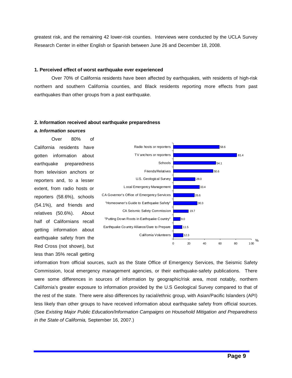greatest risk, and the remaining 42 lower-risk counties. Interviews were conducted by the UCLA Survey Research Center in either English or Spanish between June 26 and December 18, 2008.

#### **1. Perceived effect of worst earthquake ever experienced**

Over 70% of California residents have been affected by earthquakes, with residents of high-risk northern and southern California counties, and Black residents reporting more effects from past earthquakes than other groups from a past earthquake.

#### **2. Information received about earthquake preparedness**

#### **a. Information sources**

Over 80% of California residents have gotten information about earthquake preparedness from television anchors or reporters and, to a lesser extent, from radio hosts or reporters (58.6%), schools (54.1%), and friends and relatives (50.6%). About half of Californians recall getting information about Red Cross (not shown), but less than 35% recall getting



information from official sources, such as the State Office of Emergency Services, the Seismic Safety Commission, local emergency management agencies, or their earthquake-safety publications. There were some differences in sources of information by geographic/risk area, most notably, northern California's greater exposure to information provided by the U.S Geological Survey compared to that of the rest of the state. There were also differences by racial/ethnic group, with Asian/Pacific Islanders (API) less likely than other groups to have received information about earthquake safety from official sources. (See Existing Major Public Education/Information Campaigns on Household Mitigation and Preparedness in the State of California, September 16, 2007.)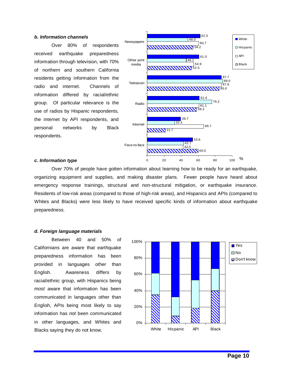#### **b. Information channels**

Over 80% of respondents received earthquake preparedness information through television, with 70% of northern and southern California residents getting information from the radio and internet. Channels of information differed by racial/ethnic group. Of particular relevance is the use of radios by Hispanic respondents, the internet by API respondents, and personal networks by Black respondents.



#### **c. Information type**

Over 70% of people have gotten information about learning how to be ready for an earthquake, organizing equipment and supplies, and making disaster plans. Fewer people have heard about emergency response trainings, structural and non-structural mitigation, or earthquake insurance. Residents of low-risk areas (compared to those of high-risk areas), and Hispanics and APIs (compared to Whites and Blacks) were less likely to have received specific kinds of information about earthquake preparedness.

#### **d. Foreign language materials**

Between 40 and 50% of Californians are aware that earthquake preparedness information has been provided in languages other than English. Awareness differs by racial/ethnic group, with Hispanics being most aware that information has been communicated in languages other than English, APIs being most likely to say information has not been communicated in other languages, and Whites and Blacks saying they do not know.

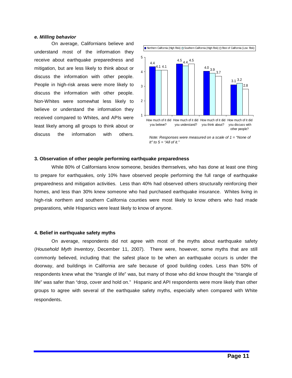#### **e. Milling behavior**

On average, Californians believe and understand most of the information they receive about earthquake preparedness and mitigation, but are less likely to think about or discuss the information with other people. People in high-risk areas were more likely to discuss the information with other people. Non-Whites were somewhat less likely to believe or understand the information they received compared to Whites, and APIs were least likely among all groups to think about or discuss the information with others.



Note: Responses were measured on a scale of  $1 =$  "None of It" to  $5 =$  "All of it."

#### **3. Observation of other people performing earthquake preparedness**

While 80% of Californians know someone, besides themselves, who has done at least one thing to prepare for earthquakes, only 10% have observed people performing the full range of earthquake preparedness and mitigation activities. Less than 40% had observed others structurally reinforcing their homes, and less than 30% knew someone who had purchased earthquake insurance. Whites living in high-risk northern and southern California counties were most likely to know others who had made preparations, while Hispanics were least likely to know of anyone.

#### **4. Belief in earthquake safety myths**

On average, respondents did not agree with most of the myths about earthquake safety (Household Myth Inventory, December 11, 2007). There were, however, some myths that are still commonly believed, including that: the safest place to be when an earthquake occurs is under the doorway, and buildings in California are safe because of good building codes. Less than 50% of respondents knew what the "triangle of life" was, but many of those who did know thought the "triangle of life" was safer than "drop, cover and hold on." Hispanic and API respondents were more likely than other groups to agree with several of the earthquake safety myths, especially when compared with White respondents.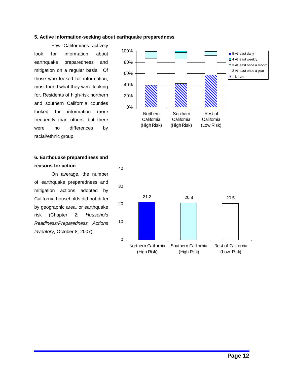## **5. Active information-seeking about earthquake preparedness**

Few Californians actively look for information about earthquake preparedness and mitigation on a regular basis. Of those who looked for information, most found what they were looking for. Residents of high-risk northern and southern California counties looked for information more frequently than others, but there were no differences by racial/ethnic group.



**reasons for action** 

On average, the number of earthquake preparedness and mitigation actions adopted by California households did not differ by geographic area, or earthquake risk (Chapter 2; Household Readiness/Preparedness Actions Inventory, October 8, 2007).



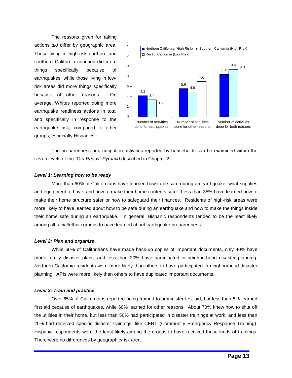The reasons given for taking actions did differ by geographic area. Those living in high-risk northern and southern California counties did more things specifically because of earthquakes, while those living in lowrisk areas did more things specifically because of other reasons. On average, Whites reported doing more earthquake readiness actions in total and specifically in response to the earthquake risk, compared to other groups, especially Hispanics.



The preparedness and mitigation activities reported by households can be examined within the seven levels of the "Get Ready" Pyramid described in Chapter 2.

#### **Level 1: Learning how to be ready**

More than 60% of Californians have learned how to be safe during an earthquake, what supplies and equipment to have, and how to make their home contents safe. Less than 35% have learned how to make their home structure safer or how to safeguard their finances. Residents of high-risk areas were more likely to have learned about how to be safe during an earthquake and how to make the things inside their home safe during an earthquake. In general, Hispanic respondents tended to be the least likely among all racial/ethnic groups to have learned about earthquake preparedness.

#### **Level 2: Plan and organize**

While 60% of Californians have made back-up copies of important documents, only 40% have made family disaster plans, and less than 20% have participated in neighborhood disaster planning. Northern California residents were more likely than others to have participated in neighborhood disaster planning. APIs were more likely than others to have duplicated important documents.

#### **Level 3: Train and practice**

Over 65% of Californians reported being trained to administer first aid, but less than 5% learned first aid because of earthquakes, while 60% learned for other reasons. About 70% knew how to shut off the utilities in their home, but less than 50% had participated in disaster trainings at work, and less than 20% had received specific disaster trainings, like CERT (Community Emergency Response Training). Hispanic respondents were the least likely among the groups to have received these kinds of trainings. There were no differences by geographic/risk area.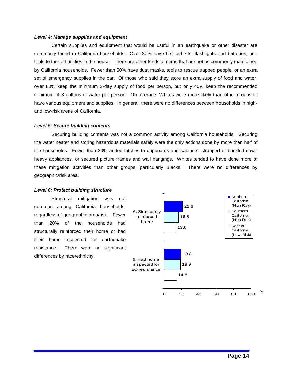#### **Level 4: Manage supplies and equipment**

Certain supplies and equipment that would be useful in an earthquake or other disaster are commonly found in California households. Over 80% have first aid kits, flashlights and batteries, and tools to turn off utilities in the house. There are other kinds of items that are not as commonly maintained by California households. Fewer than 50% have dust masks, tools to rescue trapped people, or an extra set of emergency supplies in the car. Of those who said they store an extra supply of food and water, over 80% keep the minimum 3-day supply of food per person, but only 40% keep the recommended minimum of 3 gallons of water per person. On average, Whites were more likely than other groups to have various equipment and supplies. In general, there were no differences between households in highand low-risk areas of California.

#### **Level 5: Secure building contents**

Securing building contents was not a common activity among California households. Securing the water heater and storing hazardous materials safely were the only actions done by more than half of the households. Fewer than 30% added latches to cupboards and cabinets, strapped or buckled down heavy appliances, or secured picture frames and wall hangings. Whites tended to have done more of these mitigation activities than other groups, particularly Blacks. There were no differences by geographic/risk area.

#### **Level 6: Protect building structure**

Structural mitigation was not common among California households, regardless of geographic area/risk. Fewer than 20% of the households had structurally reinforced their home or had their home inspected for earthquake resistance. There were no significant differences by race/ethnicity.

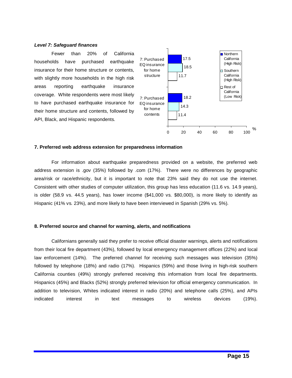#### **Level 7: Safeguard finances**

Fewer than 20% of California households have purchased earthquake insurance for their home structure or contents, with slightly more households in the high risk areas reporting earthquake insurance coverage. White respondents were most likely to have purchased earthquake insurance for their home structure and contents, followed by API, Black, and Hispanic respondents.



#### **7. Preferred web address extension for preparedness information**

For information about earthquake preparedness provided on a website, the preferred web address extension is .gov (35%) followed by .com (17%). There were no differences by geographic area/risk or race/ethnicity, but it is important to note that 23% said they do not use the internet. Consistent with other studies of computer utilization, this group has less education (11.6 vs. 14.9 years), is older (58.9 vs. 44.5 years), has lower income (\$41,000 vs. \$80,000), is more likely to identify as Hispanic (41% vs. 23%), and more likely to have been interviewed in Spanish (29% vs. 5%).

#### **8. Preferred source and channel for warning, alerts, and notifications**

Californians generally said they prefer to receive official disaster warnings, alerts and notifications from their local fire department (43%), followed by local emergency management offices (22%) and local law enforcement (14%). The preferred channel for receiving such messages was television (35%) followed by telephone (18%) and radio (17%). Hispanics (59%) and those living in high-risk southern California counties (49%) strongly preferred receiving this information from local fire departments. Hispanics (45%) and Blacks (52%) strongly preferred television for official emergency communication. In addition to television, Whites indicated interest in radio (20%) and telephone calls (25%), and APIs indicated interest in text messages to wireless devices (19%).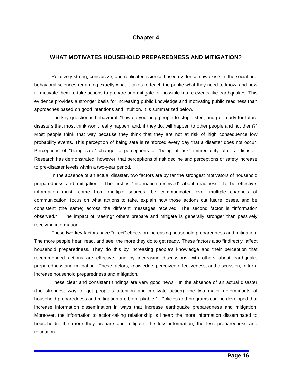# **Chapter 4**

# **WHAT MOTIVATES HOUSEHOLD PREPAREDNESS AND MITIGATION?**

Relatively strong, conclusive, and replicated science-based evidence now exists in the social and behavioral sciences regarding exactly what it takes to teach the public what they need to know, and how to motivate them to take actions to prepare and mitigate for possible future events like earthquakes. This evidence provides a stronger basis for increasing public knowledge and motivating public readiness than approaches based on good intentions and intuition. It is summarized below.

The key question is behavioral: "how do you help people to stop, listen, and get ready for future disasters that most think won't really happen, and, if they do, will happen to other people and not them?" Most people think that way because they think that they are not at risk of high consequence low probability events. This perception of being safe is reinforced every day that a disaster does not occur. Perceptions of "being safe" change to perceptions of "being at risk" immediately after a disaster. Research has demonstrated, however, that perceptions of risk decline and perceptions of safety increase to pre-disaster levels within a two-year period.

In the absence of an actual disaster, two factors are by far the strongest motivators of household preparedness and mitigation. The first is "information received" about readiness. To be effective, information must: come from multiple sources, be communicated over multiple channels of communication, focus on what actions to take, explain how those actions cut future losses, and be consistent (the same) across the different messages received. The second factor is "information observed." The impact of "seeing" others prepare and mitigate is generally stronger than passively receiving information.

These two key factors have "direct" effects on increasing household preparedness and mitigation. The more people hear, read, and see, the more they do to get ready. These factors also "indirectly" affect household preparedness. They do this by increasing people's knowledge and their perception that recommended actions are effective, and by increasing discussions with others about earthquake preparedness and mitigation. These factors, knowledge, perceived effectiveness, and discussion, in turn, increase household preparedness and mitigation.

These clear and consistent findings are very good news. In the absence of an actual disaster (the strongest way to get people's attention and motivate action), the two major determinants of household preparedness and mitigation are both "pliable." Policies and programs can be developed that increase information dissemination in ways that increase earthquake preparedness and mitigation. Moreover, the information to action-taking relationship is linear: the more information disseminated to households, the more they prepare and mitigate; the less information, the less preparedness and mitigation.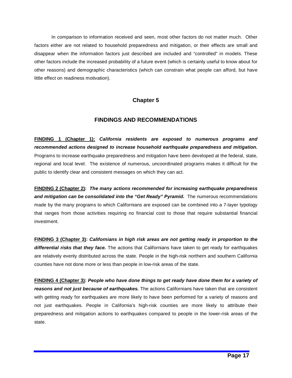In comparison to information received and seen, most other factors do not matter much. Other factors either are not related to household preparedness and mitigation, or their effects are small and disappear when the information factors just described are included and "controlled" in models. These other factors include the increased probability of a future event (which is certainly useful to know about for other reasons) and demographic characteristics (which can constrain what people can afford, but have little effect on readiness motivation).

# **Chapter 5**

# **FINDINGS AND RECOMMENDATIONS**

**FINDING 1 (Chapter 1): California residents are exposed to numerous programs and recommended actions designed to increase household earthquake preparedness and mitigation.**  Programs to increase earthquake preparedness and mitigation have been developed at the federal, state, regional and local level. The existence of numerous, uncoordinated programs makes it difficult for the public to identify clear and consistent messages on which they can act.

**FINDING 2 (Chapter 2): The many actions recommended for increasing earthquake preparedness and mitigation can be consolidated into the "Get Ready" Pyramid.** The numerous recommendations made by the many programs to which Californians are exposed can be combined into a 7-layer typology that ranges from those activities requiring no financial cost to those that require substantial financial investment.

**FINDING 3 (Chapter 3): Californians in high risk areas are not getting ready in proportion to the differential risks that they face.** The actions that Californians have taken to get ready for earthquakes are relatively evenly distributed across the state. People in the high-risk northern and southern California counties have not done more or less than people in low-risk areas of the state.

**FINDING 4 (Chapter 3): People who have done things to get ready have done them for a variety of reasons and not just because of earthquakes.** The actions Californians have taken that are consistent with getting ready for earthquakes are more likely to have been performed for a variety of reasons and not just earthquakes. People in California's high-risk counties are more likely to attribute their preparedness and mitigation actions to earthquakes compared to people in the lower-risk areas of the state.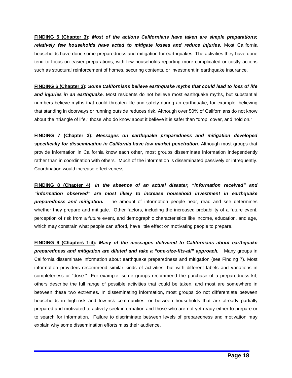**FINDING 5 (Chapter 3): Most of the actions Californians have taken are simple preparations; relatively few households have acted to mitigate losses and reduce injuries.** Most California households have done some preparedness and mitigation for earthquakes. The activities they have done tend to focus on easier preparations, with few households reporting more complicated or costly actions such as structural reinforcement of homes, securing contents, or investment in earthquake insurance.

**FINDING 6 (Chapter 3): Some Californians believe earthquake myths that could lead to loss of life**  and injuries in an earthquake. Most residents do not believe most earthquake myths, but substantial numbers believe myths that could threaten life and safety during an earthquake, for example, believing that standing in doorways or running outside reduces risk. Although over 50% of Californians do not know about the "triangle of life," those who do know about it believe it is safer than "drop, cover, and hold on."

**FINDING 7 (Chapter 3): Messages on earthquake preparedness and mitigation developed specifically for dissemination in California have low market penetration.** Although most groups that provide information in California know each other, most groups disseminate information independently rather than in coordination with others. Much of the information is disseminated passively or infrequently. Coordination would increase effectiveness.

**FINDING 8 (Chapter 4)**: **In the absence of an actual disaster, "information received" and "information observed" are most likely to increase household investment in earthquake preparedness and mitigation.** The amount of information people hear, read and see determines whether they prepare and mitigate. Other factors, including the increased probability of a future event, perception of risk from a future event, and demographic characteristics like income, education, and age, which may constrain what people can afford, have little effect on motivating people to prepare.

**FINDING 9 (Chapters 1-4): Many of the messages delivered to Californians about earthquake preparedness and mitigation are diluted and take a "one-size-fits-all" approach.** Many groups in California disseminate information about earthquake preparedness and mitigation (see Finding 7). Most information providers recommend similar kinds of activities, but with different labels and variations in completeness or "dose." For example, some groups recommend the purchase of a preparedness kit, others describe the full range of possible activities that could be taken, and most are somewhere in between these two extremes. In disseminating information, most groups do not differentiate between households in high-risk and low-risk communities, or between households that are already partially prepared and motivated to actively seek information and those who are not yet ready either to prepare or to search for information. Failure to discriminate between levels of preparedness and motivation may explain why some dissemination efforts miss their audience.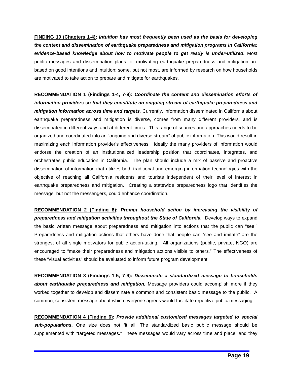**FINDING 10 (Chapters 1-4): Intuition has most frequently been used as the basis for developing the content and dissemination of earthquake preparedness and mitigation programs in California; evidence-based knowledge about how to motivate people to get ready is under-utilized.** Most public messages and dissemination plans for motivating earthquake preparedness and mitigation are based on good intentions and intuition; some, but not most, are informed by research on how households are motivated to take action to prepare and mitigate for earthquakes.

**RECOMMENDATION 1 (Findings 1-4, 7-9): Coordinate the content and dissemination efforts of information providers so that they constitute an ongoing stream of earthquake preparedness and mitigation information across time and targets.** Currently, information disseminated in California about earthquake preparedness and mitigation is diverse, comes from many different providers, and is disseminated in different ways and at different times. This range of sources and approaches needs to be organized and coordinated into an "ongoing and diverse stream" of public information. This would result in maximizing each information provider's effectiveness. Ideally the many providers of information would endorse the creation of an institutionalized leadership position that coordinates, integrates, and orchestrates public education in California. The plan should include a mix of passive and proactive dissemination of information that utilizes both traditional and emerging information technologies with the objective of reaching all California residents and tourists independent of their level of interest in earthquake preparedness and mitigation. Creating a statewide preparedness logo that identifies the message, but not the messengers, could enhance coordination.

**RECOMMENDATION 2 (Finding 8): Prompt household action by increasing the visibility of preparedness and mitigation activities throughout the State of California.** Develop ways to expand the basic written message about preparedness and mitigation into actions that the public can "see." Preparedness and mitigation actions that others have done that people can "see and imitate" are the strongest of all single motivators for public action-taking. All organizations (public, private, NGO) are encouraged to "make their preparedness and mitigation actions visible to others." The effectiveness of these "visual activities" should be evaluated to inform future program development.

**RECOMMENDATION 3 (Findings 1-5, 7-9): Disseminate a standardized message to households about earthquake preparedness and mitigation.** Message providers could accomplish more if they worked together to develop and disseminate a common and consistent basic message to the public. A common, consistent message about which everyone agrees would facilitate repetitive public messaging.

**RECOMMENDATION 4 (Finding 6): Provide additional customized messages targeted to special sub-populations.** One size does not fit all. The standardized basic public message should be supplemented with "targeted messages." These messages would vary across time and place, and they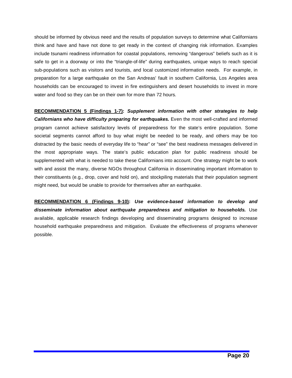should be informed by obvious need and the results of population surveys to determine what Californians think and have and have not done to get ready in the context of changing risk information. Examples include tsunami readiness information for coastal populations, removing "dangerous" beliefs such as it is safe to get in a doorway or into the "triangle-of-life" during earthquakes, unique ways to reach special sub-populations such as visitors and tourists, and local customized information needs. For example, in preparation for a large earthquake on the San Andreas' fault in southern California, Los Angeles area households can be encouraged to invest in fire extinguishers and desert households to invest in more water and food so they can be on their own for more than 72 hours.

**RECOMMENDATION 5 (Findings 1-7): Supplement information with other strategies to help Californians who have difficulty preparing for earthquakes.** Even the most well-crafted and informed program cannot achieve satisfactory levels of preparedness for the state's entire population. Some societal segments cannot afford to buy what might be needed to be ready, and others may be too distracted by the basic needs of everyday life to "hear" or "see" the best readiness messages delivered in the most appropriate ways. The state's public education plan for public readiness should be supplemented with what is needed to take these Californians into account. One strategy might be to work with and assist the many, diverse NGOs throughout California in disseminating important information to their constituents (e.g., drop, cover and hold on), and stockpiling materials that their population segment might need, but would be unable to provide for themselves after an earthquake.

**RECOMMENDATION 6 (Findings 9-10): Use evidence-based information to develop and disseminate information about earthquake preparedness and mitigation to households.** Use available, applicable research findings developing and disseminating programs designed to increase household earthquake preparedness and mitigation. Evaluate the effectiveness of programs whenever possible.